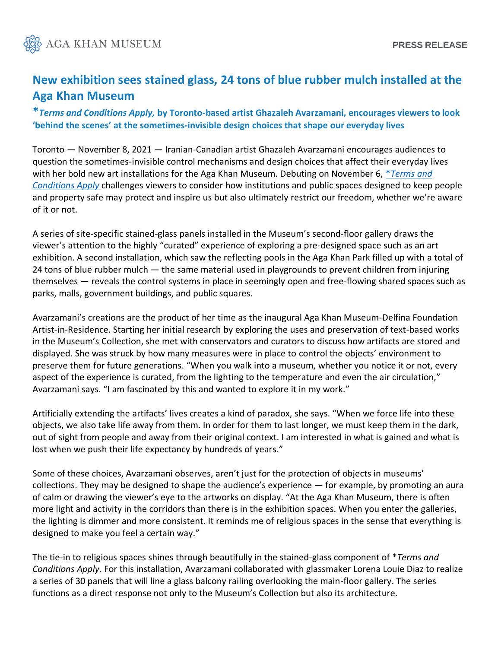

## **New exhibition sees stained glass, 24 tons of blue rubber mulch installed at the Aga Khan Museum**

**\****Terms and Conditions Apply,* **by Toronto-based artist Ghazaleh Avarzamani, encourages viewers to look 'behind the scenes' at the sometimes-invisible design choices that shape our everyday lives**

Toronto — November 8, 2021 — Iranian-Canadian artist Ghazaleh Avarzamani encourages audiences to question the sometimes-invisible control mechanisms and design choices that affect their everyday lives with her bold new art installations for the Aga Khan Museum. Debuting on November 6, \**[Terms and](https://www.agakhanmuseum.org/exhibitions/terms-and-conditions-apply)  [Conditions Apply](https://www.agakhanmuseum.org/exhibitions/terms-and-conditions-apply)* challenges viewers to consider how institutions and public spaces designed to keep people and property safe may protect and inspire us but also ultimately restrict our freedom, whether we're aware of it or not.

A series of site-specific stained-glass panels installed in the Museum's second-floor gallery draws the viewer's attention to the highly "curated" experience of exploring a pre-designed space such as an art exhibition. A second installation, which saw the reflecting pools in the Aga Khan Park filled up with a total of 24 tons of blue rubber mulch — the same material used in playgrounds to prevent children from injuring themselves — reveals the control systems in place in seemingly open and free-flowing shared spaces such as parks, malls, government buildings, and public squares.

Avarzamani's creations are the product of her time as the inaugural Aga Khan Museum-Delfina Foundation Artist-in-Residence. Starting her initial research by exploring the uses and preservation of text-based works in the Museum's Collection, she met with conservators and curators to discuss how artifacts are stored and displayed. She was struck by how many measures were in place to control the objects' environment to preserve them for future generations. "When you walk into a museum, whether you notice it or not, every aspect of the experience is curated, from the lighting to the temperature and even the air circulation," Avarzamani says. "I am fascinated by this and wanted to explore it in my work."

Artificially extending the artifacts' lives creates a kind of paradox, she says. "When we force life into these objects, we also take life away from them. In order for them to last longer, we must keep them in the dark, out of sight from people and away from their original context. I am interested in what is gained and what is lost when we push their life expectancy by hundreds of years."

Some of these choices, Avarzamani observes, aren't just for the protection of objects in museums' collections. They may be designed to shape the audience's experience — for example, by promoting an aura of calm or drawing the viewer's eye to the artworks on display. "At the Aga Khan Museum, there is often more light and activity in the corridors than there is in the exhibition spaces. When you enter the galleries, the lighting is dimmer and more consistent. It reminds me of religious spaces in the sense that everything is designed to make you feel a certain way."

The tie-in to religious spaces shines through beautifully in the stained-glass component of \**Terms and Conditions Apply.* For this installation, Avarzamani collaborated with glassmaker Lorena Louie Diaz to realize a series of 30 panels that will line a glass balcony railing overlooking the main-floor gallery. The series functions as a direct response not only to the Museum's Collection but also its architecture.